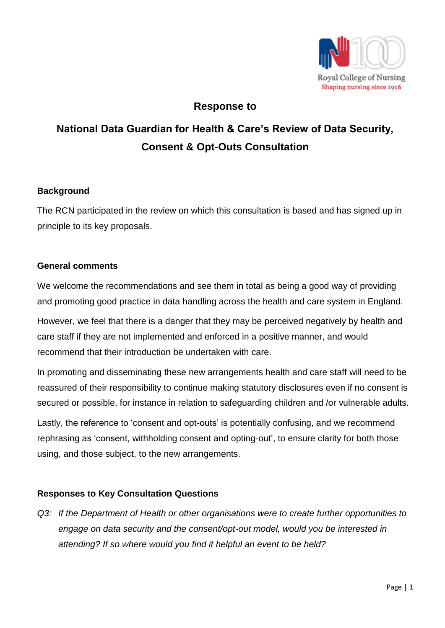

## **Response to**

# **National Data Guardian for Health & Care's Review of Data Security, Consent & Opt-Outs Consultation**

#### **Background**

The RCN participated in the review on which this consultation is based and has signed up in principle to its key proposals.

#### **General comments**

We welcome the recommendations and see them in total as being a good way of providing and promoting good practice in data handling across the health and care system in England.

However, we feel that there is a danger that they may be perceived negatively by health and care staff if they are not implemented and enforced in a positive manner, and would recommend that their introduction be undertaken with care.

In promoting and disseminating these new arrangements health and care staff will need to be reassured of their responsibility to continue making statutory disclosures even if no consent is secured or possible, for instance in relation to safeguarding children and /or vulnerable adults.

Lastly, the reference to 'consent and opt-outs' is potentially confusing, and we recommend rephrasing as 'consent, withholding consent and opting-out', to ensure clarity for both those using, and those subject, to the new arrangements.

#### **Responses to Key Consultation Questions**

*Q3: If the Department of Health or other organisations were to create further opportunities to engage on data security and the consent/opt-out model, would you be interested in attending? If so where would you find it helpful an event to be held?*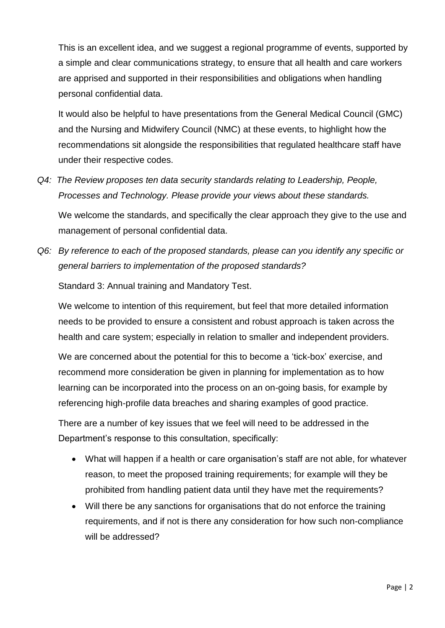This is an excellent idea, and we suggest a regional programme of events, supported by a simple and clear communications strategy, to ensure that all health and care workers are apprised and supported in their responsibilities and obligations when handling personal confidential data.

It would also be helpful to have presentations from the General Medical Council (GMC) and the Nursing and Midwifery Council (NMC) at these events, to highlight how the recommendations sit alongside the responsibilities that regulated healthcare staff have under their respective codes.

*Q4: The Review proposes ten data security standards relating to Leadership, People, Processes and Technology. Please provide your views about these standards.*

We welcome the standards, and specifically the clear approach they give to the use and management of personal confidential data.

*Q6: By reference to each of the proposed standards, please can you identify any specific or general barriers to implementation of the proposed standards?*

Standard 3: Annual training and Mandatory Test.

We welcome to intention of this requirement, but feel that more detailed information needs to be provided to ensure a consistent and robust approach is taken across the health and care system; especially in relation to smaller and independent providers.

We are concerned about the potential for this to become a 'tick-box' exercise, and recommend more consideration be given in planning for implementation as to how learning can be incorporated into the process on an on-going basis, for example by referencing high-profile data breaches and sharing examples of good practice.

There are a number of key issues that we feel will need to be addressed in the Department's response to this consultation, specifically:

- What will happen if a health or care organisation's staff are not able, for whatever reason, to meet the proposed training requirements; for example will they be prohibited from handling patient data until they have met the requirements?
- Will there be any sanctions for organisations that do not enforce the training requirements, and if not is there any consideration for how such non-compliance will be addressed?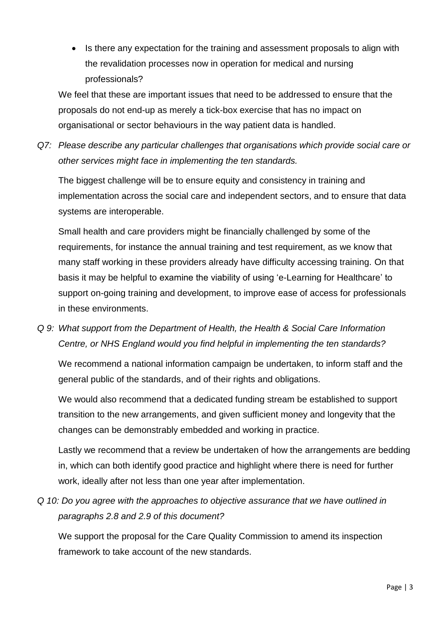• Is there any expectation for the training and assessment proposals to align with the revalidation processes now in operation for medical and nursing professionals?

We feel that these are important issues that need to be addressed to ensure that the proposals do not end-up as merely a tick-box exercise that has no impact on organisational or sector behaviours in the way patient data is handled.

*Q7: Please describe any particular challenges that organisations which provide social care or other services might face in implementing the ten standards.*

The biggest challenge will be to ensure equity and consistency in training and implementation across the social care and independent sectors, and to ensure that data systems are interoperable.

Small health and care providers might be financially challenged by some of the requirements, for instance the annual training and test requirement, as we know that many staff working in these providers already have difficulty accessing training. On that basis it may be helpful to examine the viability of using 'e-Learning for Healthcare' to support on-going training and development, to improve ease of access for professionals in these environments.

*Q 9: What support from the Department of Health, the Health & Social Care Information Centre, or NHS England would you find helpful in implementing the ten standards?* 

We recommend a national information campaign be undertaken, to inform staff and the general public of the standards, and of their rights and obligations.

We would also recommend that a dedicated funding stream be established to support transition to the new arrangements, and given sufficient money and longevity that the changes can be demonstrably embedded and working in practice.

Lastly we recommend that a review be undertaken of how the arrangements are bedding in, which can both identify good practice and highlight where there is need for further work, ideally after not less than one year after implementation.

*Q 10: Do you agree with the approaches to objective assurance that we have outlined in paragraphs 2.8 and 2.9 of this document?*

We support the proposal for the Care Quality Commission to amend its inspection framework to take account of the new standards.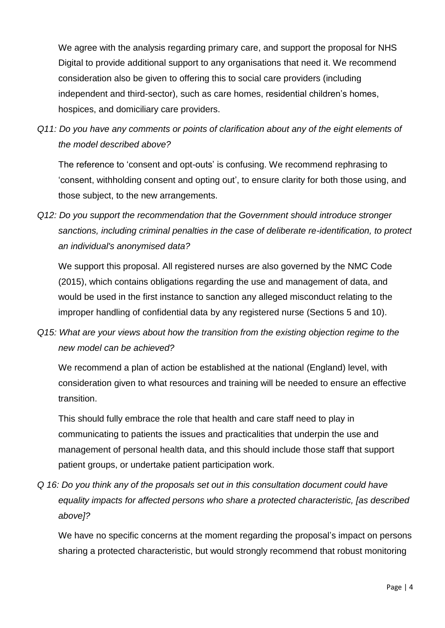We agree with the analysis regarding primary care, and support the proposal for NHS Digital to provide additional support to any organisations that need it. We recommend consideration also be given to offering this to social care providers (including independent and third-sector), such as care homes, residential children's homes, hospices, and domiciliary care providers.

*Q11: Do you have any comments or points of clarification about any of the eight elements of the model described above?* 

The reference to 'consent and opt-outs' is confusing. We recommend rephrasing to 'consent, withholding consent and opting out', to ensure clarity for both those using, and those subject, to the new arrangements.

*Q12: Do you support the recommendation that the Government should introduce stronger sanctions, including criminal penalties in the case of deliberate re-identification, to protect an individual's anonymised data?* 

We support this proposal. All registered nurses are also governed by the NMC Code (2015), which contains obligations regarding the use and management of data, and would be used in the first instance to sanction any alleged misconduct relating to the improper handling of confidential data by any registered nurse (Sections 5 and 10).

*Q15: What are your views about how the transition from the existing objection regime to the new model can be achieved?*

We recommend a plan of action be established at the national (England) level, with consideration given to what resources and training will be needed to ensure an effective transition.

This should fully embrace the role that health and care staff need to play in communicating to patients the issues and practicalities that underpin the use and management of personal health data, and this should include those staff that support patient groups, or undertake patient participation work.

*Q 16: Do you think any of the proposals set out in this consultation document could have equality impacts for affected persons who share a protected characteristic, [as described above]?*

We have no specific concerns at the moment regarding the proposal's impact on persons sharing a protected characteristic, but would strongly recommend that robust monitoring